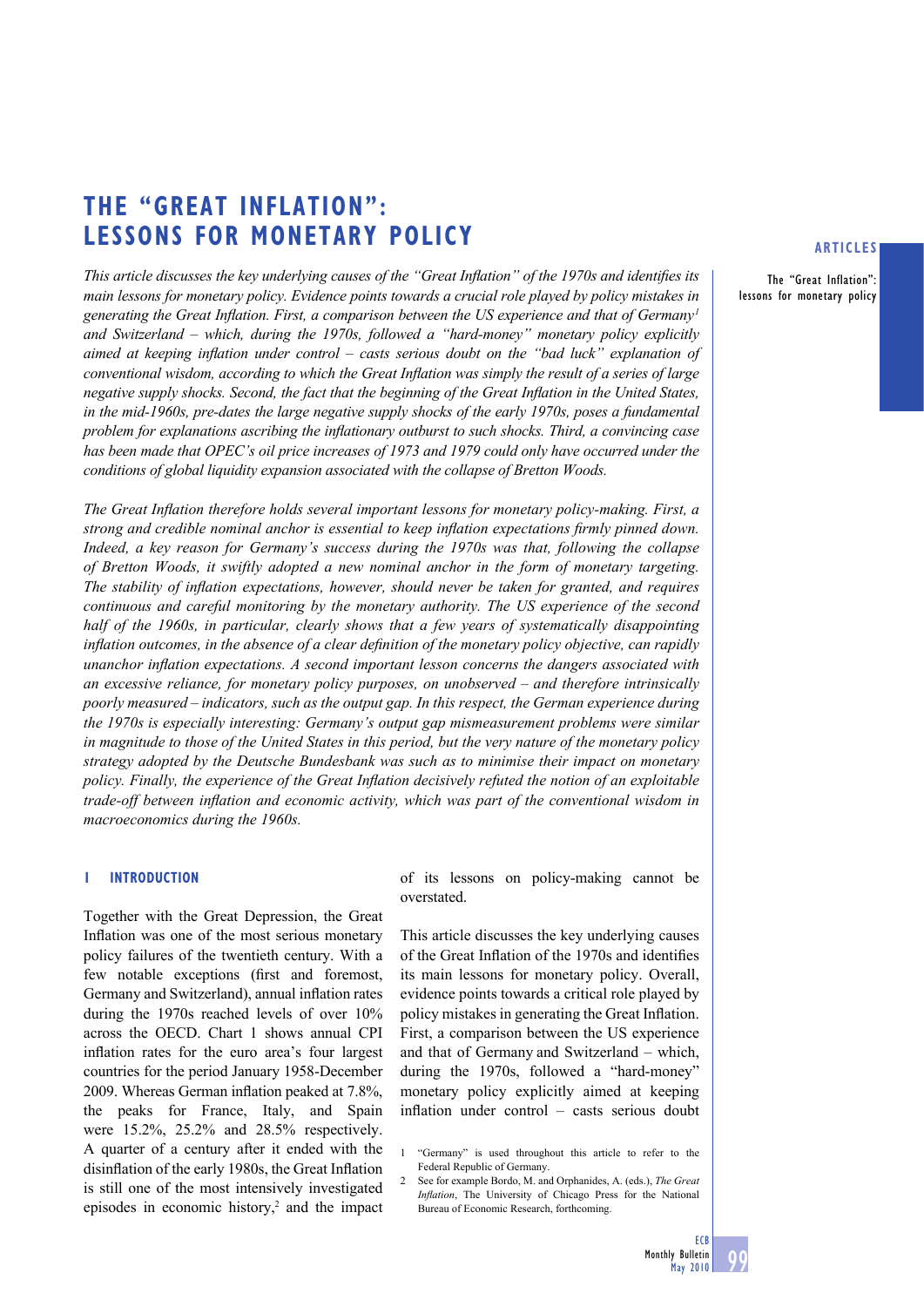# **THE "GREAT INFLATION": LESSONS FOR MONETARY POLICY**

*This article discusses the key underlying causes of the "Great Inflation" of the 1970s and identifies its main lessons for monetary policy. Evidence points towards a crucial role played by policy mistakes in*  generating the Great Inflation. First, a comparison between the US experience and that of Germany<sup>1</sup> *and Switzerland – which, during the 1970s, followed a "hard-money" monetary policy explicitly*  aimed at keeping inflation under control – casts serious doubt on the "bad luck" explanation of *conventional wisdom, according to which the Great Inflation was simply the result of a series of large negative supply shocks. Second, the fact that the beginning of the Great Inflation in the United States, in the mid-1960s, pre-dates the large negative supply shocks of the early 1970s, poses a fundamental problem for explanations ascribing the inflationary outburst to such shocks. Third, a convincing case has been made that OPEC's oil price increases of 1973 and 1979 could only have occurred under the conditions of global liquidity expansion associated with the collapse of Bretton Woods.*

*The Great Inflation therefore holds several important lessons for monetary policy-making. First, a strong and credible nominal anchor is essential to keep inflation expectations firmly pinned down. Indeed, a key reason for Germany's success during the 1970s was that, following the collapse of Bretton Woods, it swiftly adopted a new nominal anchor in the form of monetary targeting. The stability of inflation expectations, however, should never be taken for granted, and requires continuous and careful monitoring by the monetary authority. The US experience of the second half of the 1960s, in particular, clearly shows that a few years of systematically disappointing inflation outcomes, in the absence of a clear definition of the monetary policy objective, can rapidly unanchor inflation expectations. A second important lesson concerns the dangers associated with an excessive reliance, for monetary policy purposes, on unobserved – and therefore intrinsically poorly measured – indicators, such as the output gap. In this respect, the German experience during the 1970s is especially interesting: Germany's output gap mismeasurement problems were similar in magnitude to those of the United States in this period, but the very nature of the monetary policy strategy adopted by the Deutsche Bundesbank was such as to minimise their impact on monetary policy. Finally, the experience of the Great Inflation decisively refuted the notion of an exploitable trade-off between inflation and economic activity, which was part of the conventional wisdom in macroeconomics during the 1960s.*

# **1 INTRODUCTION**

Together with the Great Depression, the Great Inflation was one of the most serious monetary policy failures of the twentieth century. With a few notable exceptions (first and foremost, Germany and Switzerland), annual inflation rates during the 1970s reached levels of over 10% across the OECD. Chart 1 shows annual CPI inflation rates for the euro area's four largest countries for the period January 1958-December 2009. Whereas German inflation peaked at 7.8%, the peaks for France, Italy, and Spain were 15.2%, 25.2% and 28.5% respectively. A quarter of a century after it ended with the disinflation of the early 1980s, the Great Inflation is still one of the most intensively investigated episodes in economic history, $2$  and the impact of its lessons on policy-making cannot be overstated.

This article discusses the key underlying causes of the Great Inflation of the 1970s and identifies its main lessons for monetary policy. Overall, evidence points towards a critical role played by policy mistakes in generating the Great Inflation. First, a comparison between the US experience and that of Germany and Switzerland – which, during the 1970s, followed a "hard-money" monetary policy explicitly aimed at keeping inflation under control – casts serious doubt

2 See for example Bordo, M. and Orphanides, A. (eds.), *The Great Inflation*, The University of Chicago Press for the National Bureau of Economic Research, forthcoming.

#### **ARTICLES**

**The "Great Inflation": lessons for monetary policy**

**ECB**

<sup>1 &</sup>quot;Germany" is used throughout this article to refer to the Federal Republic of Germany.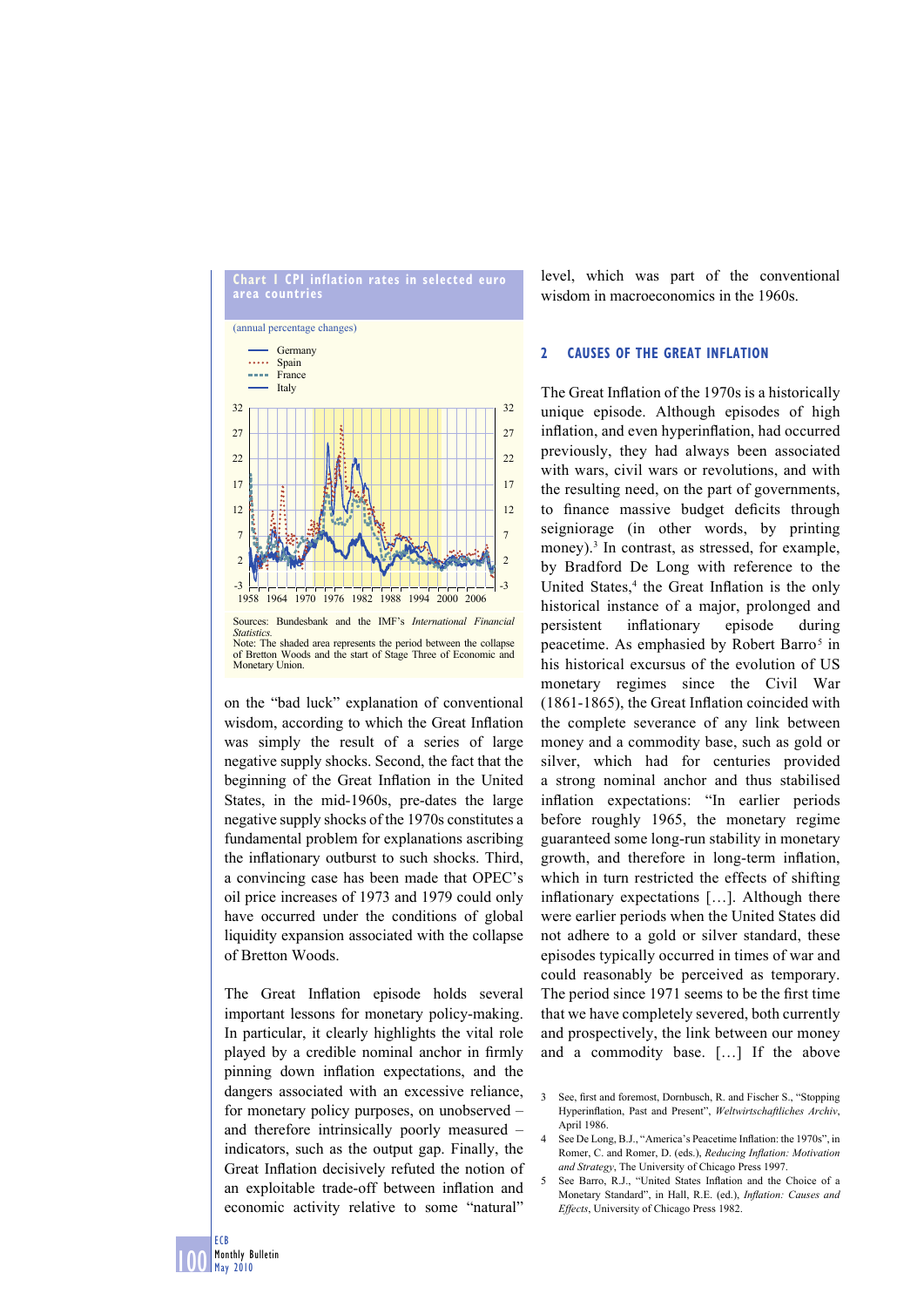

Note: The shaded area represents the period between the collapse of Bretton Woods and the start of Stage Three of Economic and Monetary Union.

on the "bad luck" explanation of conventional wisdom, according to which the Great Inflation was simply the result of a series of large negative supply shocks. Second, the fact that the beginning of the Great Inflation in the United States, in the mid-1960s, pre-dates the large negative supply shocks of the 1970s constitutes a fundamental problem for explanations ascribing the inflationary outburst to such shocks. Third, a convincing case has been made that OPEC's oil price increases of 1973 and 1979 could only have occurred under the conditions of global liquidity expansion associated with the collapse of Bretton Woods.

The Great Inflation episode holds several important lessons for monetary policy-making. In particular, it clearly highlights the vital role played by a credible nominal anchor in firmly pinning down inflation expectations, and the dangers associated with an excessive reliance, for monetary policy purposes, on unobserved – and therefore intrinsically poorly measured – indicators, such as the output gap. Finally, the Great Inflation decisively refuted the notion of an exploitable trade-off between inflation and economic activity relative to some "natural"

level, which was part of the conventional wisdom in macroeconomics in the 1960s.

#### **2 CAUSES OF THE GREAT INFLATION**

The Great Inflation of the 1970s is a historically unique episode. Although episodes of high inflation, and even hyperinflation, had occurred previously, they had always been associated with wars, civil wars or revolutions, and with the resulting need, on the part of governments, to finance massive budget deficits through seigniorage (in other words, by printing money).<sup>3</sup> In contrast, as stressed, for example, by Bradford De Long with reference to the United States, $4$  the Great Inflation is the only historical instance of a major, prolonged and persistent inflationary episode during peacetime. As emphasied by Robert Barro<sup>5</sup> in his historical excursus of the evolution of US monetary regimes since the Civil War  $(1861-1865)$ , the Great Inflation coincided with the complete severance of any link between money and a commodity base, such as gold or silver, which had for centuries provided a strong nominal anchor and thus stabilised inflation expectations: "In earlier periods before roughly 1965, the monetary regime guaranteed some long-run stability in monetary growth, and therefore in long-term inflation, which in turn restricted the effects of shifting inflationary expectations [...]. Although there were earlier periods when the United States did not adhere to a gold or silver standard, these episodes typically occurred in times of war and could reasonably be perceived as temporary. The period since 1971 seems to be the first time that we have completely severed, both currently and prospectively, the link between our money and a commodity base. […] If the above

- 4 See De Long, B.J., "America's Peacetime Inflation: the 1970s", in Romer, C. and Romer, D. (eds.), *Reducing Inflation: Motivation and Strategy*, The University of Chicago Press 1997.
- 5 See Barro, R.J., "United States Inflation and the Choice of a Monetary Standard", in Hall, R.E. (ed.), *Inflation: Causes and Effects*, University of Chicago Press 1982.

<sup>3</sup> See, first and foremost, Dornbusch, R. and Fischer S., "Stopping Hyperinflation, Past and Present", Weltwirtschaftliches Archiv, April 1986.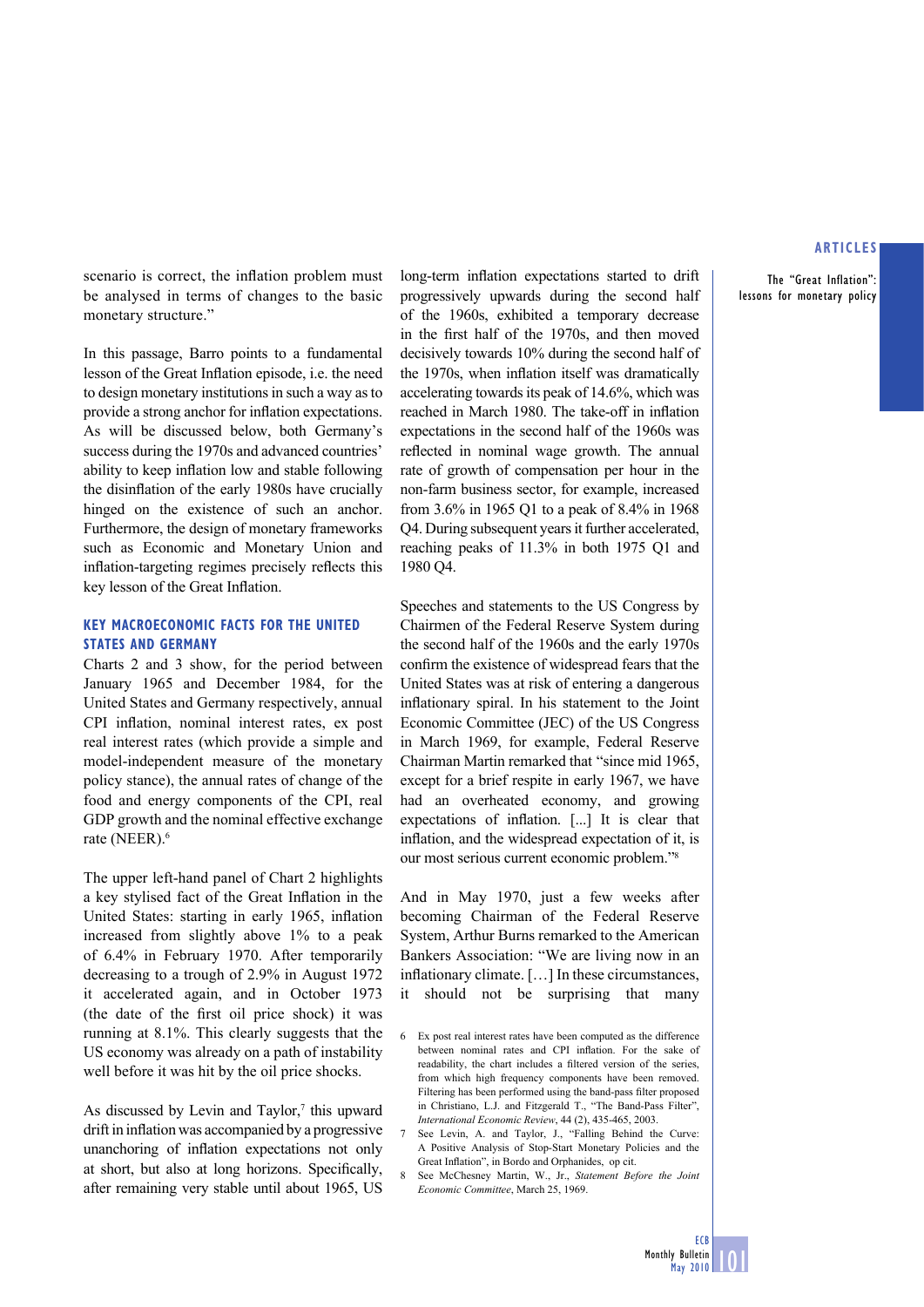**The "Great Inflation": lessons for monetary policy**

scenario is correct, the inflation problem must be analysed in terms of changes to the basic monetary structure."

In this passage, Barro points to a fundamental lesson of the Great Inflation episode, i.e. the need to design monetary institutions in such a way as to provide a strong anchor for inflation expectations. As will be discussed below, both Germany's success during the 1970s and advanced countries' ability to keep inflation low and stable following the disinflation of the early 1980s have crucially hinged on the existence of such an anchor. Furthermore, the design of monetary frameworks such as Economic and Monetary Union and inflation-targeting regimes precisely reflects this key lesson of the Great Inflation.

## **KEY MACROECONOMIC FACTS FOR THE UNITED STATES AND GERMANY**

Charts 2 and 3 show, for the period between January 1965 and December 1984, for the United States and Germany respectively, annual CPI inflation, nominal interest rates, ex post real interest rates (which provide a simple and model-independent measure of the monetary policy stance), the annual rates of change of the food and energy components of the CPI, real GDP growth and the nominal effective exchange rate (NEER).<sup>6</sup>

The upper left-hand panel of Chart 2 highlights a key stylised fact of the Great Inflation in the United States: starting in early 1965, inflation increased from slightly above 1% to a peak of 6.4% in February 1970. After temporarily decreasing to a trough of 2.9% in August 1972 it accelerated again, and in October 1973 (the date of the first oil price shock) it was running at 8.1%. This clearly suggests that the US economy was already on a path of instability well before it was hit by the oil price shocks.

As discussed by Levin and Taylor,<sup>7</sup> this upward drift in inflation was accompanied by a progressive unanchoring of inflation expectations not only at short, but also at long horizons. Specifically, after remaining very stable until about 1965, US

long-term inflation expectations started to drift progressively upwards during the second half of the 1960s, exhibited a temporary decrease in the first half of the 1970s, and then moved decisively towards 10% during the second half of the 1970s, when inflation itself was dramatically accelerating towards its peak of 14.6%, which was reached in March 1980. The take-off in inflation expectations in the second half of the 1960s was reflected in nominal wage growth. The annual rate of growth of compensation per hour in the non-farm business sector, for example, increased from 3.6% in 1965 Q1 to a peak of 8.4% in 1968 Q4. During subsequent years it further accelerated, reaching peaks of 11.3% in both 1975 Q1 and 1980 Q4.

Speeches and statements to the US Congress by Chairmen of the Federal Reserve System during the second half of the 1960s and the early 1970s confirm the existence of widespread fears that the United States was at risk of entering a dangerous inflationary spiral. In his statement to the Joint Economic Committee (JEC) of the US Congress in March 1969, for example, Federal Reserve Chairman Martin remarked that "since mid 1965, except for a brief respite in early 1967, we have had an overheated economy, and growing expectations of inflation.  $[...]$  It is clear that inflation, and the widespread expectation of it, is our most serious current economic problem."8

And in May 1970, just a few weeks after becoming Chairman of the Federal Reserve System, Arthur Burns remarked to the American Bankers Association: "We are living now in an inflationary climate.  $[\dots]$  In these circumstances, it should not be surprising that many

<sup>6</sup> Ex post real interest rates have been computed as the difference between nominal rates and CPI inflation. For the sake of readability, the chart includes a filtered version of the series, from which high frequency components have been removed. Filtering has been performed using the band-pass filter proposed in Christiano, L.J. and Fitzgerald T., "The Band-Pass Filter", *International Economic Review*, 44 (2), 435-465, 2003.

<sup>7</sup> See Levin, A. and Taylor, J., "Falling Behind the Curve: A Positive Analysis of Stop-Start Monetary Policies and the Great Inflation", in Bordo and Orphanides, op cit.

<sup>8</sup> See McChesney Martin, W., Jr., *Statement Before the Joint Economic Committee*, March 25, 1969.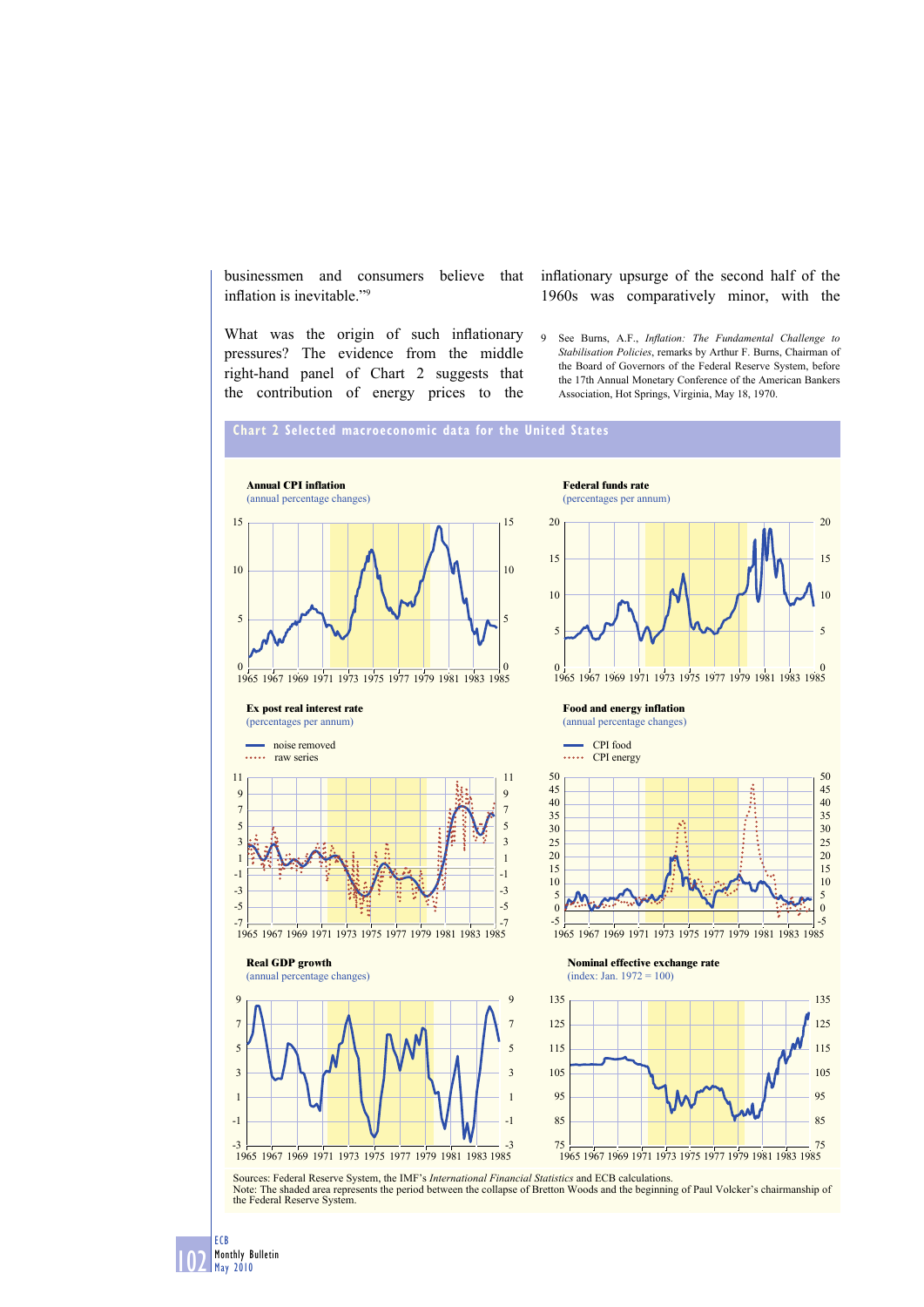businessmen and consumers believe that inflation is inevitable."<sup>9</sup>

What was the origin of such inflationary pressures? The evidence from the middle right-hand panel of Chart 2 suggests that the contribution of energy prices to the inflationary upsurge of the second half of the 1960s was comparatively minor, with the

9 See Burns, A.F., *Inflation: The Fundamental Challenge to Stabilisation Policies*, remarks by Arthur F. Burns, Chairman of the Board of Governors of the Federal Reserve System, before the 17th Annual Monetary Conference of the American Bankers Association, Hot Springs, Virginia, May 18, 1970.



the Federal Reserve System.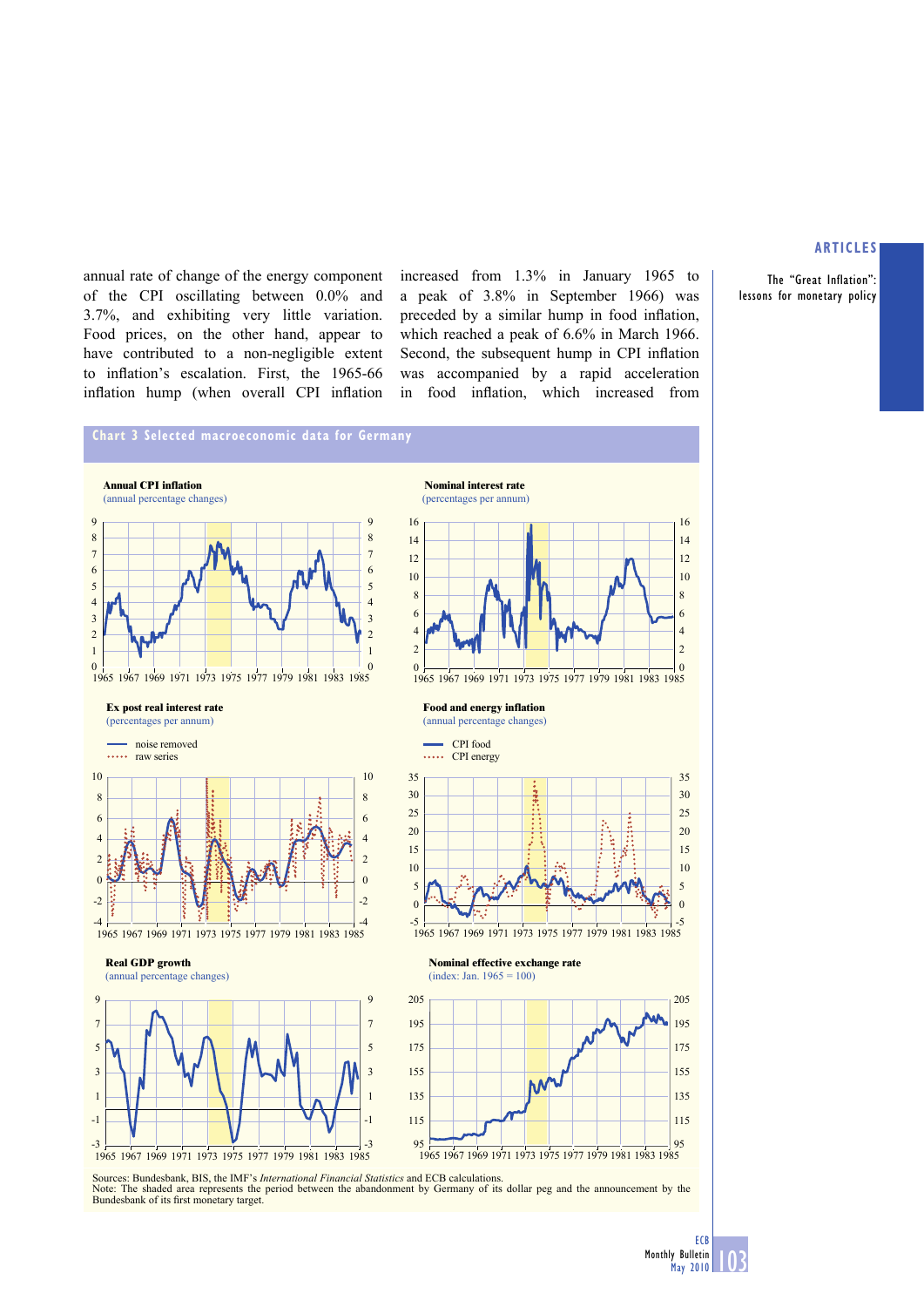**The "Great Inflation": lessons for monetary policy**

annual rate of change of the energy component of the CPI oscillating between 0.0% and 3.7%, and exhibiting very little variation. Food prices, on the other hand, appear to have contributed to a non-negligible extent to inflation's escalation. First, the 1965-66 inflation hump (when overall CPI inflation increased from 1.3% in January 1965 to a peak of 3.8% in September 1966) was preceded by a similar hump in food inflation, which reached a peak of 6.6% in March 1966. Second, the subsequent hump in CPI inflation was accompanied by a rapid acceleration in food inflation, which increased from



Note: The shaded area represents the period between the abandonment by Germany of its dollar peg and the announcement by the Bundesbank of its first monetary target.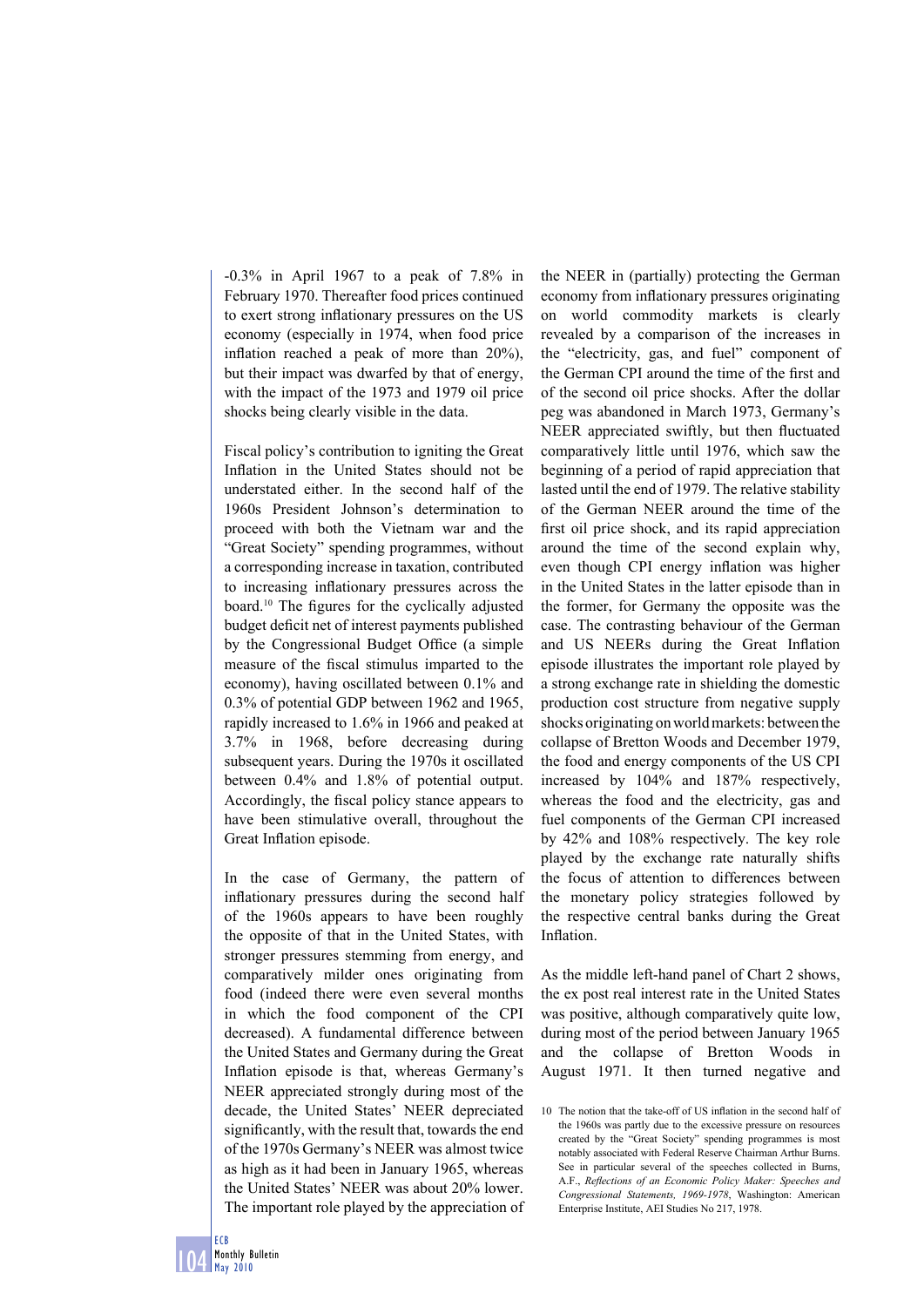-0.3% in April 1967 to a peak of 7.8% in February 1970. Thereafter food prices continued to exert strong inflationary pressures on the US economy (especially in 1974, when food price inflation reached a peak of more than  $20\%$ ), but their impact was dwarfed by that of energy, with the impact of the 1973 and 1979 oil price shocks being clearly visible in the data.

Fiscal policy's contribution to igniting the Great Inflation in the United States should not be understated either. In the second half of the 1960s President Johnson's determination to proceed with both the Vietnam war and the "Great Society" spending programmes, without a corresponding increase in taxation, contributed to increasing inflationary pressures across the board.<sup>10</sup> The figures for the cyclically adjusted budget deficit net of interest payments published by the Congressional Budget Office (a simple measure of the fiscal stimulus imparted to the economy), having oscillated between 0.1% and 0.3% of potential GDP between 1962 and 1965, rapidly increased to 1.6% in 1966 and peaked at 3.7% in 1968, before decreasing during subsequent years. During the 1970s it oscillated between 0.4% and 1.8% of potential output. Accordingly, the fiscal policy stance appears to have been stimulative overall, throughout the Great Inflation episode.

In the case of Germany, the pattern of inflationary pressures during the second half of the 1960s appears to have been roughly the opposite of that in the United States, with stronger pressures stemming from energy, and comparatively milder ones originating from food (indeed there were even several months in which the food component of the CPI decreased). A fundamental difference between the United States and Germany during the Great Inflation episode is that, whereas Germany's NEER appreciated strongly during most of the decade, the United States' NEER depreciated significantly, with the result that, towards the end of the 1970s Germany's NEER was almost twice as high as it had been in January 1965, whereas the United States' NEER was about 20% lower. The important role played by the appreciation of

the NEER in (partially) protecting the German economy from inflationary pressures originating on world commodity markets is clearly revealed by a comparison of the increases in the "electricity, gas, and fuel" component of the German CPI around the time of the first and of the second oil price shocks. After the dollar peg was abandoned in March 1973, Germany's NEER appreciated swiftly, but then fluctuated comparatively little until 1976, which saw the beginning of a period of rapid appreciation that lasted until the end of 1979. The relative stability of the German NEER around the time of the first oil price shock, and its rapid appreciation around the time of the second explain why, even though CPI energy inflation was higher in the United States in the latter episode than in the former, for Germany the opposite was the case. The contrasting behaviour of the German and US NEERs during the Great Inflation episode illustrates the important role played by a strong exchange rate in shielding the domestic production cost structure from negative supply shocks originating on world markets: between the collapse of Bretton Woods and December 1979, the food and energy components of the US CPI increased by 104% and 187% respectively, whereas the food and the electricity, gas and fuel components of the German CPI increased by 42% and 108% respectively. The key role played by the exchange rate naturally shifts the focus of attention to differences between the monetary policy strategies followed by the respective central banks during the Great Inflation.

As the middle left-hand panel of Chart 2 shows, the ex post real interest rate in the United States was positive, although comparatively quite low, during most of the period between January 1965 and the collapse of Bretton Woods in August 1971. It then turned negative and

<sup>10</sup> The notion that the take-off of US inflation in the second half of the 1960s was partly due to the excessive pressure on resources created by the "Great Society" spending programmes is most notably associated with Federal Reserve Chairman Arthur Burns. See in particular several of the speeches collected in Burns, A.F., *Reflections of an Economic Policy Maker: Speeches and Congressional Statements, 1969-1978*, Washington: American Enterprise Institute, AEI Studies No 217, 1978.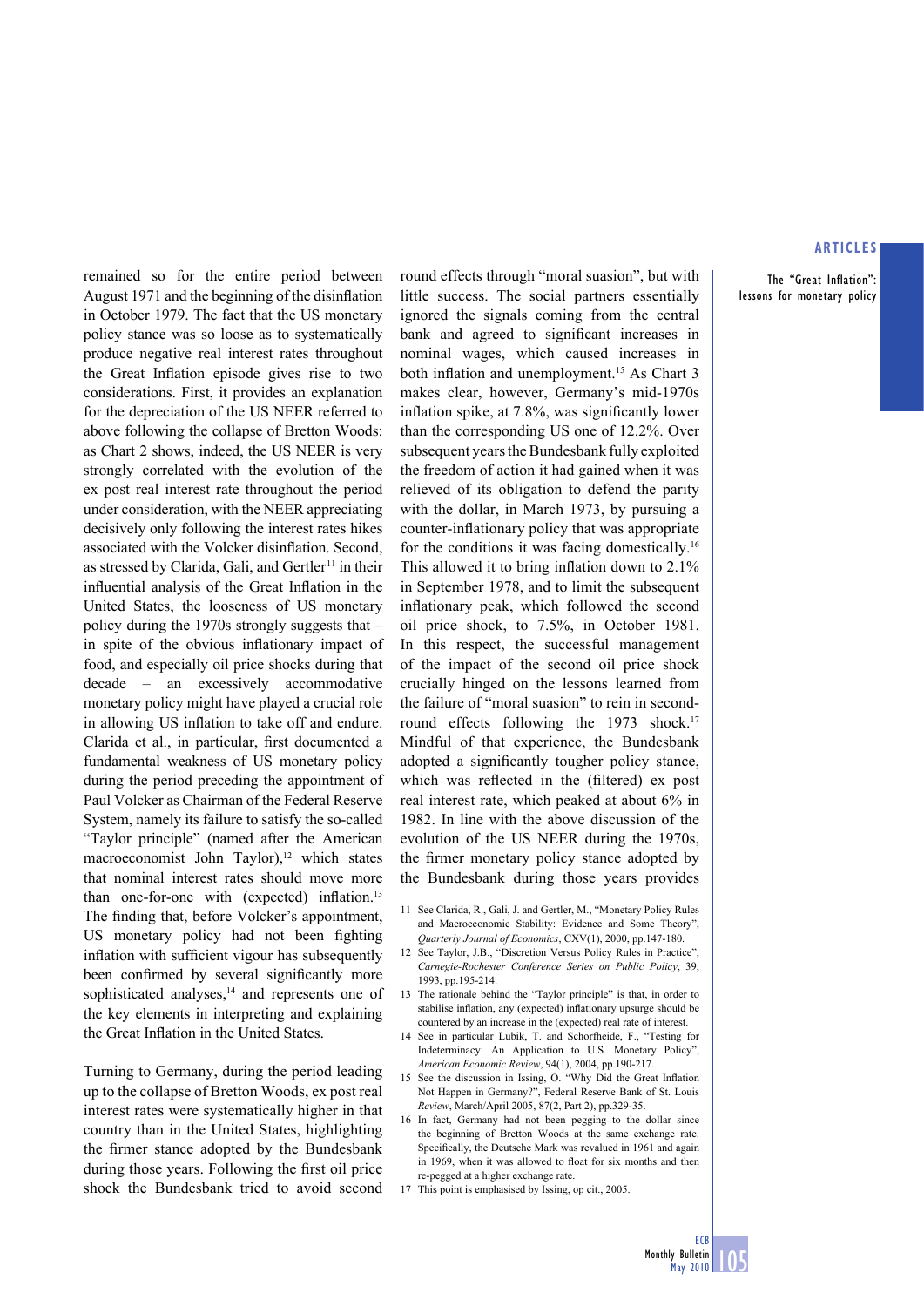**The "Great Inflation": lessons for monetary policy**

remained so for the entire period between August 1971 and the beginning of the disinflation in October 1979. The fact that the US monetary policy stance was so loose as to systematically produce negative real interest rates throughout the Great Inflation episode gives rise to two considerations. First, it provides an explanation for the depreciation of the US NEER referred to above following the collapse of Bretton Woods: as Chart 2 shows, indeed, the US NEER is very strongly correlated with the evolution of the ex post real interest rate throughout the period under consideration, with the NEER appreciating decisively only following the interest rates hikes associated with the Volcker disinflation. Second, as stressed by Clarida, Gali, and Gertler<sup>11</sup> in their influential analysis of the Great Inflation in the United States, the looseness of US monetary policy during the 1970s strongly suggests that – in spite of the obvious inflationary impact of food, and especially oil price shocks during that decade – an excessively accommodative monetary policy might have played a crucial role in allowing US inflation to take off and endure. Clarida et al., in particular, first documented a fundamental weakness of US monetary policy during the period preceding the appointment of Paul Volcker as Chairman of the Federal Reserve System, namely its failure to satisfy the so-called "Taylor principle" (named after the American macroeconomist John Taylor),<sup>12</sup> which states that nominal interest rates should move more than one-for-one with (expected) inflation. $13$ The finding that, before Volcker's appointment, US monetary policy had not been fighting inflation with sufficient vigour has subsequently been confirmed by several significantly more sophisticated analyses,<sup>14</sup> and represents one of the key elements in interpreting and explaining the Great Inflation in the United States.

Turning to Germany, during the period leading up to the collapse of Bretton Woods, ex post real interest rates were systematically higher in that country than in the United States, highlighting the firmer stance adopted by the Bundesbank during those years. Following the first oil price shock the Bundesbank tried to avoid second

round effects through "moral suasion", but with little success. The social partners essentially ignored the signals coming from the central bank and agreed to significant increases in nominal wages, which caused increases in both inflation and unemployment.<sup>15</sup> As Chart 3 makes clear, however, Germany's mid-1970s inflation spike, at 7.8%, was significantly lower than the corresponding US one of 12.2%. Over subsequent years the Bundesbank fully exploited the freedom of action it had gained when it was relieved of its obligation to defend the parity with the dollar, in March 1973, by pursuing a counter-inflationary policy that was appropriate for the conditions it was facing domestically.16 This allowed it to bring inflation down to  $2.1\%$ in September 1978, and to limit the subsequent inflationary peak, which followed the second oil price shock, to 7.5%, in October 1981. In this respect, the successful management of the impact of the second oil price shock crucially hinged on the lessons learned from the failure of "moral suasion" to rein in secondround effects following the 1973 shock.<sup>17</sup> Mindful of that experience, the Bundesbank adopted a significantly tougher policy stance, which was reflected in the (filtered) ex post real interest rate, which peaked at about 6% in 1982. In line with the above discussion of the evolution of the US NEER during the 1970s, the firmer monetary policy stance adopted by the Bundesbank during those years provides

- 11 See Clarida, R., Gali, J. and Gertler, M., "Monetary Policy Rules and Macroeconomic Stability: Evidence and Some Theory", *Quarterly Journal of Economics*, CXV(1), 2000, pp.147-180.
- 12 See Taylor, J.B., "Discretion Versus Policy Rules in Practice", *Carnegie-Rochester Conference Series on Public Policy*, 39, 1993, pp.195-214.
- 13 The rationale behind the "Taylor principle" is that, in order to stabilise inflation, any (expected) inflationary upsurge should be countered by an increase in the (expected) real rate of interest.
- 14 See in particular Lubik, T. and Schorfheide, F., "Testing for Indeterminacy: An Application to U.S. Monetary Policy", *American Economic Review*, 94(1), 2004, pp.190-217.
- 15 See the discussion in Issing, O. "Why Did the Great Inflation Not Happen in Germany?", Federal Reserve Bank of St. Louis *Review*, March/April 2005, 87(2, Part 2), pp.329-35.
- 16 In fact, Germany had not been pegging to the dollar since the beginning of Bretton Woods at the same exchange rate. Specifically, the Deutsche Mark was revalued in 1961 and again in 1969, when it was allowed to float for six months and then re-pegged at a higher exchange rate.
- 17 This point is emphasised by Issing, op cit., 2005.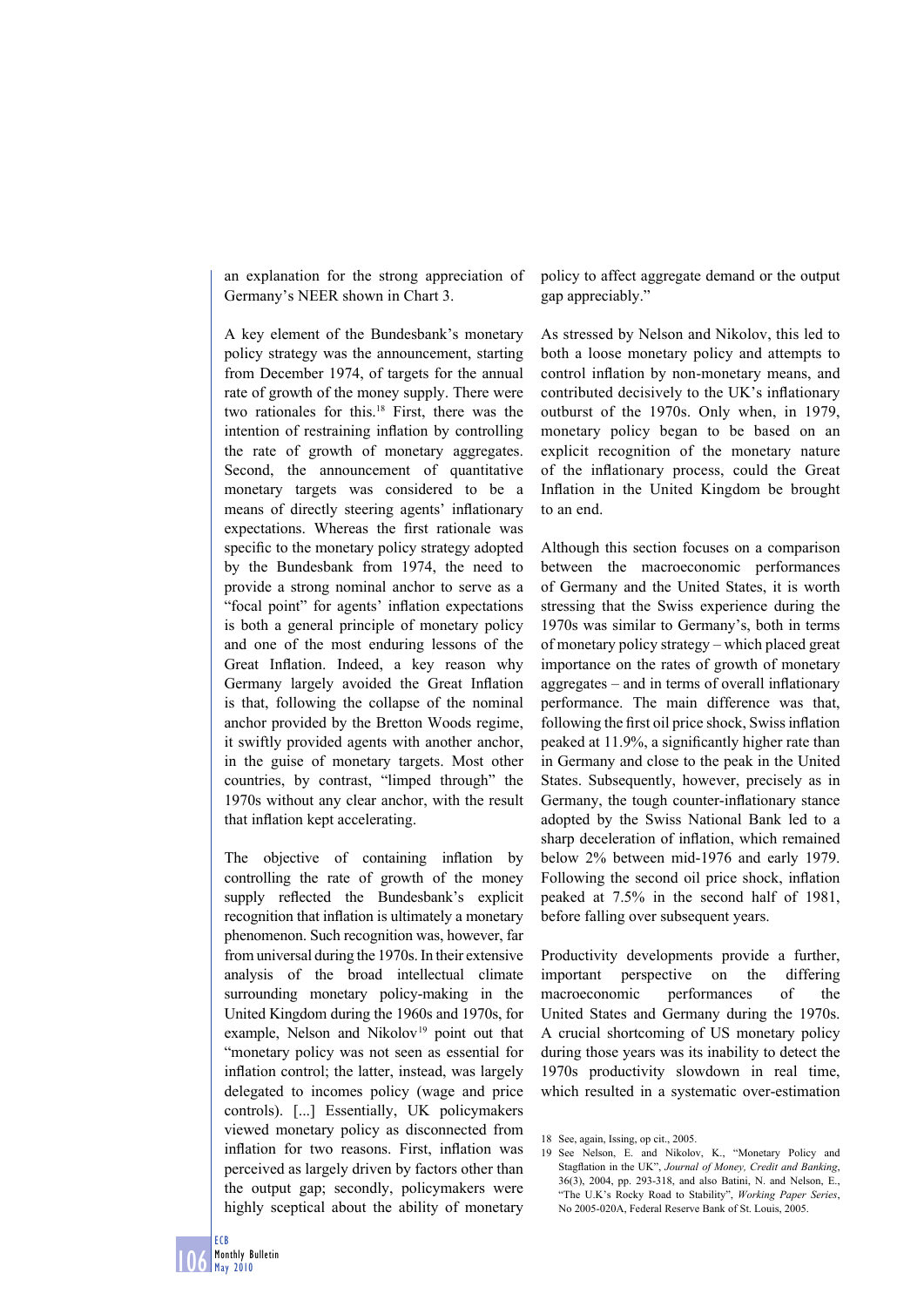an explanation for the strong appreciation of Germany's NEER shown in Chart 3.

A key element of the Bundesbank's monetary policy strategy was the announcement, starting from December 1974, of targets for the annual rate of growth of the money supply. There were two rationales for this.18 First, there was the intention of restraining inflation by controlling the rate of growth of monetary aggregates. Second, the announcement of quantitative monetary targets was considered to be a means of directly steering agents' inflationary expectations. Whereas the first rationale was specific to the monetary policy strategy adopted by the Bundesbank from 1974, the need to provide a strong nominal anchor to serve as a "focal point" for agents' inflation expectations is both a general principle of monetary policy and one of the most enduring lessons of the Great Inflation. Indeed, a key reason why Germany largely avoided the Great Inflation is that, following the collapse of the nominal anchor provided by the Bretton Woods regime, it swiftly provided agents with another anchor, in the guise of monetary targets. Most other countries, by contrast, "limped through" the 1970s without any clear anchor, with the result that inflation kept accelerating.

The objective of containing inflation by controlling the rate of growth of the money supply reflected the Bundesbank's explicit recognition that inflation is ultimately a monetary phenomenon. Such recognition was, however, far from universal during the 1970s. In their extensive analysis of the broad intellectual climate surrounding monetary policy-making in the United Kingdom during the 1960s and 1970s, for example, Nelson and Nikolov<sup>19</sup> point out that "monetary policy was not seen as essential for inflation control; the latter, instead, was largely delegated to incomes policy (wage and price controls). [...] Essentially, UK policymakers viewed monetary policy as disconnected from inflation for two reasons. First, inflation was perceived as largely driven by factors other than the output gap; secondly, policymakers were highly sceptical about the ability of monetary

policy to affect aggregate demand or the output gap appreciably."

As stressed by Nelson and Nikolov, this led to both a loose monetary policy and attempts to control inflation by non-monetary means, and contributed decisively to the UK's inflationary outburst of the 1970s. Only when, in 1979, monetary policy began to be based on an explicit recognition of the monetary nature of the inflationary process, could the Great Inflation in the United Kingdom be brought to an end.

Although this section focuses on a comparison between the macroeconomic performances of Germany and the United States, it is worth stressing that the Swiss experience during the 1970s was similar to Germany's, both in terms of monetary policy strategy – which placed great importance on the rates of growth of monetary  $aggregates - and in terms of overall inflationary$ performance. The main difference was that, following the first oil price shock, Swiss inflation peaked at  $11.9\%$ , a significantly higher rate than in Germany and close to the peak in the United States. Subsequently, however, precisely as in Germany, the tough counter-inflationary stance adopted by the Swiss National Bank led to a sharp deceleration of inflation, which remained below 2% between mid-1976 and early 1979. Following the second oil price shock, inflation peaked at 7.5% in the second half of 1981, before falling over subsequent years.

Productivity developments provide a further, important perspective on the differing macroeconomic performances of the United States and Germany during the 1970s. A crucial shortcoming of US monetary policy during those years was its inability to detect the 1970s productivity slowdown in real time, which resulted in a systematic over-estimation

<sup>18</sup> See, again, Issing, op cit., 2005.

<sup>19</sup> See Nelson, E. and Nikolov, K., "Monetary Policy and Stagflation in the UK", *Journal of Money, Credit and Banking*, 36(3), 2004, pp. 293-318, and also Batini, N. and Nelson, E., "The U.K's Rocky Road to Stability", *Working Paper Series*, No 2005-020A, Federal Reserve Bank of St. Louis, 2005.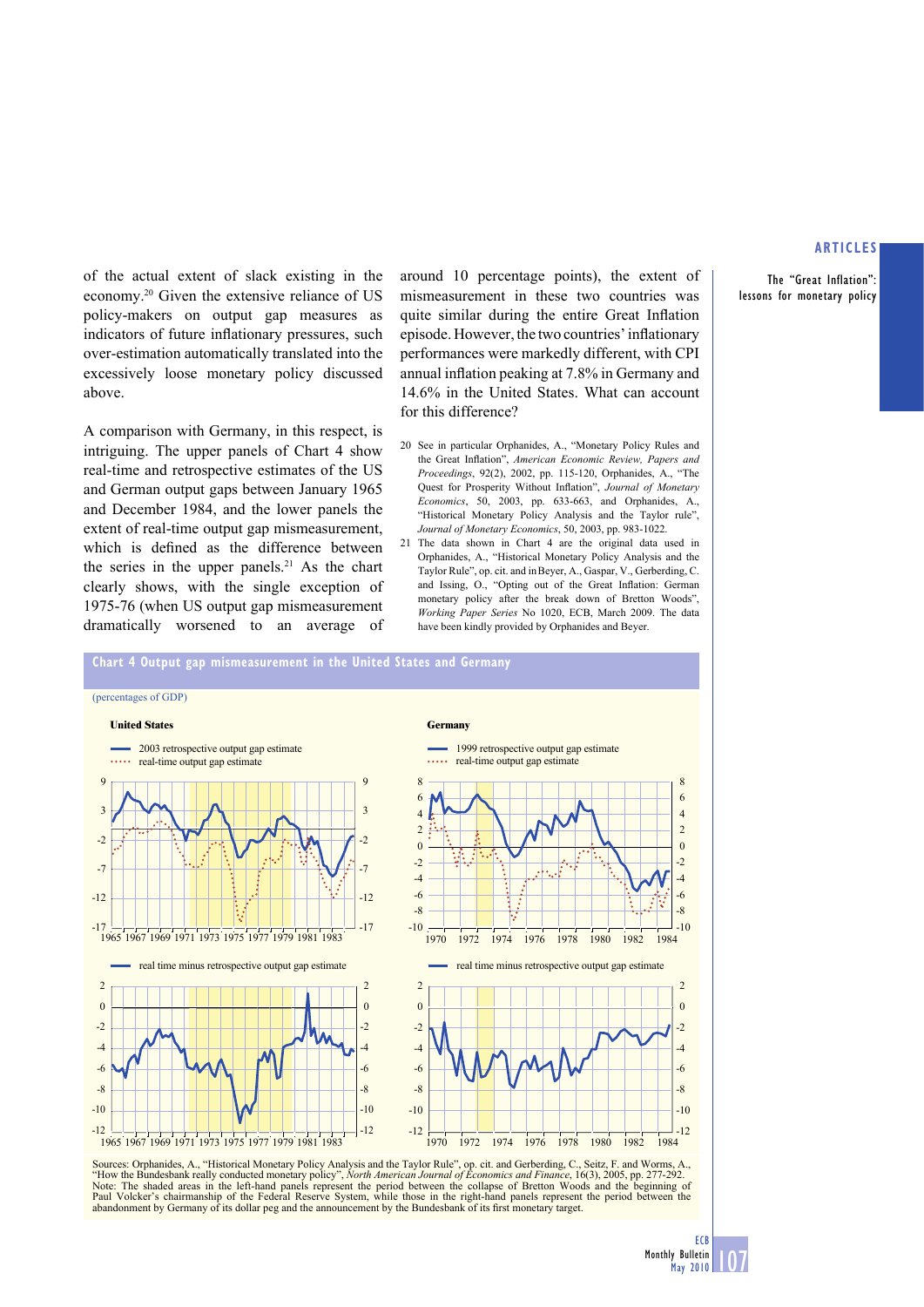**The "Great Inflation": lessons for monetary policy**

of the actual extent of slack existing in the economy.20 Given the extensive reliance of US policy-makers on output gap measures as indicators of future inflationary pressures, such over-estimation automatically translated into the excessively loose monetary policy discussed above.

A comparison with Germany, in this respect, is intriguing. The upper panels of Chart 4 show real-time and retrospective estimates of the US and German output gaps between January 1965 and December 1984, and the lower panels the extent of real-time output gap mismeasurement, which is defined as the difference between the series in the upper panels.<sup>21</sup> As the chart clearly shows, with the single exception of 1975-76 (when US output gap mismeasurement dramatically worsened to an average of around 10 percentage points), the extent of mismeasurement in these two countries was quite similar during the entire Great Inflation episode. However, the two countries' inflationary performances were markedly different, with CPI annual inflation peaking at 7.8% in Germany and 14.6% in the United States. What can account for this difference?

- 20 See in particular Orphanides, A., "Monetary Policy Rules and the Great Inflation", *American Economic Review, Papers and Proceedings*, 92(2), 2002, pp. 115-120, Orphanides, A., "The Quest for Prosperity Without Inflation", *Journal of Monetary Economics*, 50, 2003, pp. 633-663, and Orphanides, A., "Historical Monetary Policy Analysis and the Taylor rule", *Journal of Monetary Economics*, 50, 2003, pp. 983-1022.
- 21 The data shown in Chart 4 are the original data used in Orphanides, A., "Historical Monetary Policy Analysis and the Taylor Rule", op. cit. and inBeyer, A., Gaspar, V., Gerberding, C. and Issing, O., "Opting out of the Great Inflation: German monetary policy after the break down of Bretton Woods", *Working Paper Series* No 1020, ECB, March 2009. The data have been kindly provided by Orphanides and Beyer.



Sources: Orphanides, A., "Historical Monetary Policy Analysis and the Taylor Rule", op. cit. and Gerberding, C., Seitz, F. and Worms, A.,<br>"How the Bundesbank really conducted monetary policy", *North American Journal of Ec* Paul Volcker's chairmanship of the Federal Reserve System, while those in the right-hand panels represent the period between the abandonment by Germany of its dollar peg and the announcement by the Bundesbank of its first monetary target.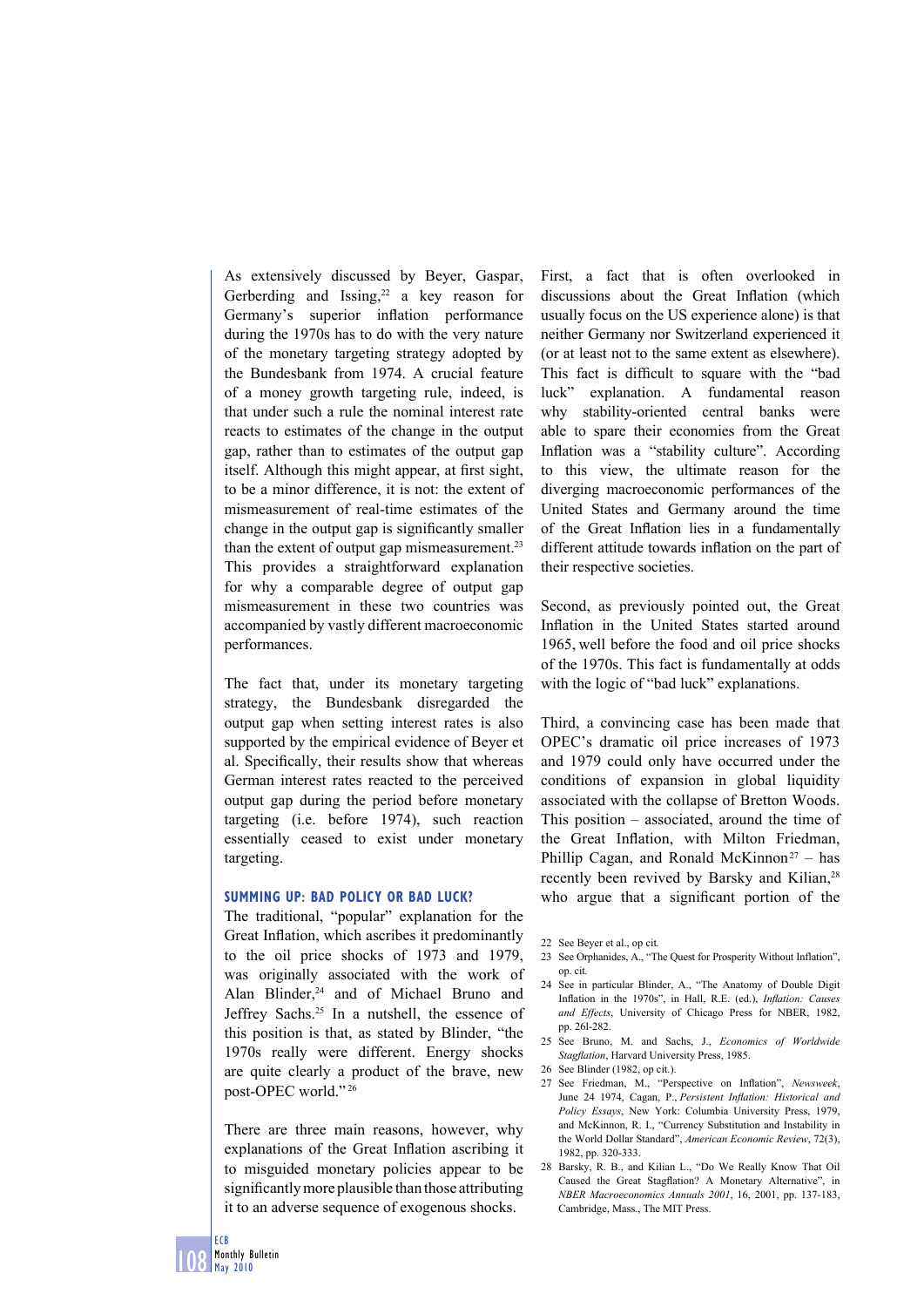As extensively discussed by Beyer, Gaspar, Gerberding and Issing, $22$  a key reason for Germany's superior inflation performance during the 1970s has to do with the very nature of the monetary targeting strategy adopted by the Bundesbank from 1974. A crucial feature of a money growth targeting rule, indeed, is that under such a rule the nominal interest rate reacts to estimates of the change in the output gap, rather than to estimates of the output gap itself. Although this might appear, at first sight, to be a minor difference, it is not: the extent of mismeasurement of real-time estimates of the change in the output gap is significantly smaller than the extent of output gap mismeasurement.<sup>23</sup> This provides a straightforward explanation for why a comparable degree of output gap mismeasurement in these two countries was accompanied by vastly different macroeconomic performances.

The fact that, under its monetary targeting strategy, the Bundesbank disregarded the output gap when setting interest rates is also supported by the empirical evidence of Beyer et al. Specifically, their results show that whereas German interest rates reacted to the perceived output gap during the period before monetary targeting (i.e. before 1974), such reaction essentially ceased to exist under monetary targeting.

#### **SUMMING UP: BAD POLICY OR BAD LUCK?**

The traditional, "popular" explanation for the Great Inflation, which ascribes it predominantly to the oil price shocks of 1973 and 1979, was originally associated with the work of Alan Blinder,<sup>24</sup> and of Michael Bruno and Jeffrey Sachs.25 In a nutshell, the essence of this position is that, as stated by Blinder, "the 1970s really were different. Energy shocks are quite clearly a product of the brave, new post-OPEC world."<sup>26</sup>

There are three main reasons, however, why explanations of the Great Inflation ascribing it to misguided monetary policies appear to be significantly more plausible than those attributing it to an adverse sequence of exogenous shocks.

First, a fact that is often overlooked in discussions about the Great Inflation (which usually focus on the US experience alone) is that neither Germany nor Switzerland experienced it (or at least not to the same extent as elsewhere). This fact is difficult to square with the "bad luck" explanation. A fundamental reason why stability-oriented central banks were able to spare their economies from the Great Inflation was a "stability culture". According to this view, the ultimate reason for the diverging macroeconomic performances of the United States and Germany around the time of the Great Inflation lies in a fundamentally different attitude towards inflation on the part of their respective societies.

Second, as previously pointed out, the Great Inflation in the United States started around 1965, well before the food and oil price shocks of the 1970s. This fact is fundamentally at odds with the logic of "bad luck" explanations.

Third, a convincing case has been made that OPEC's dramatic oil price increases of 1973 and 1979 could only have occurred under the conditions of expansion in global liquidity associated with the collapse of Bretton Woods. This position – associated, around the time of the Great Inflation, with Milton Friedman, Phillip Cagan, and Ronald McKinnon<sup>27</sup> – has recently been revived by Barsky and Kilian,<sup>28</sup> who argue that a significant portion of the

22 See Beyer et al., op cit*.*

- 23 See Orphanides, A., "The Quest for Prosperity Without Inflation", op. cit.
- 24 See in particular Blinder, A., "The Anatomy of Double Digit Inflation in the 1970s", in Hall, R.E. (ed.), *Inflation: Causes and Effects*, University of Chicago Press for NBER, 1982, pp. 26l-282.
- 25 See Bruno, M. and Sachs, J., *Economics of Worldwide*  Stagflation, Harvard University Press, 1985.
- 26 See Blinder (1982, op cit.).
- 27 See Friedman, M., "Perspective on Inflation", Newsweek, June 24 1974, Cagan, P., Persistent Inflation: Historical and *Policy Essays*, New York: Columbia University Press, 1979, and McKinnon, R. I., "Currency Substitution and Instability in the World Dollar Standard", *American Economic Review*, 72(3), 1982, pp. 320-333.
- 28 Barsky, R. B., and Kilian L., "Do We Really Know That Oil Caused the Great Stagflation? A Monetary Alternative", in *NBER Macroeconomics Annuals 2001*, 16, 2001, pp. 137-183, Cambridge, Mass., The MIT Press.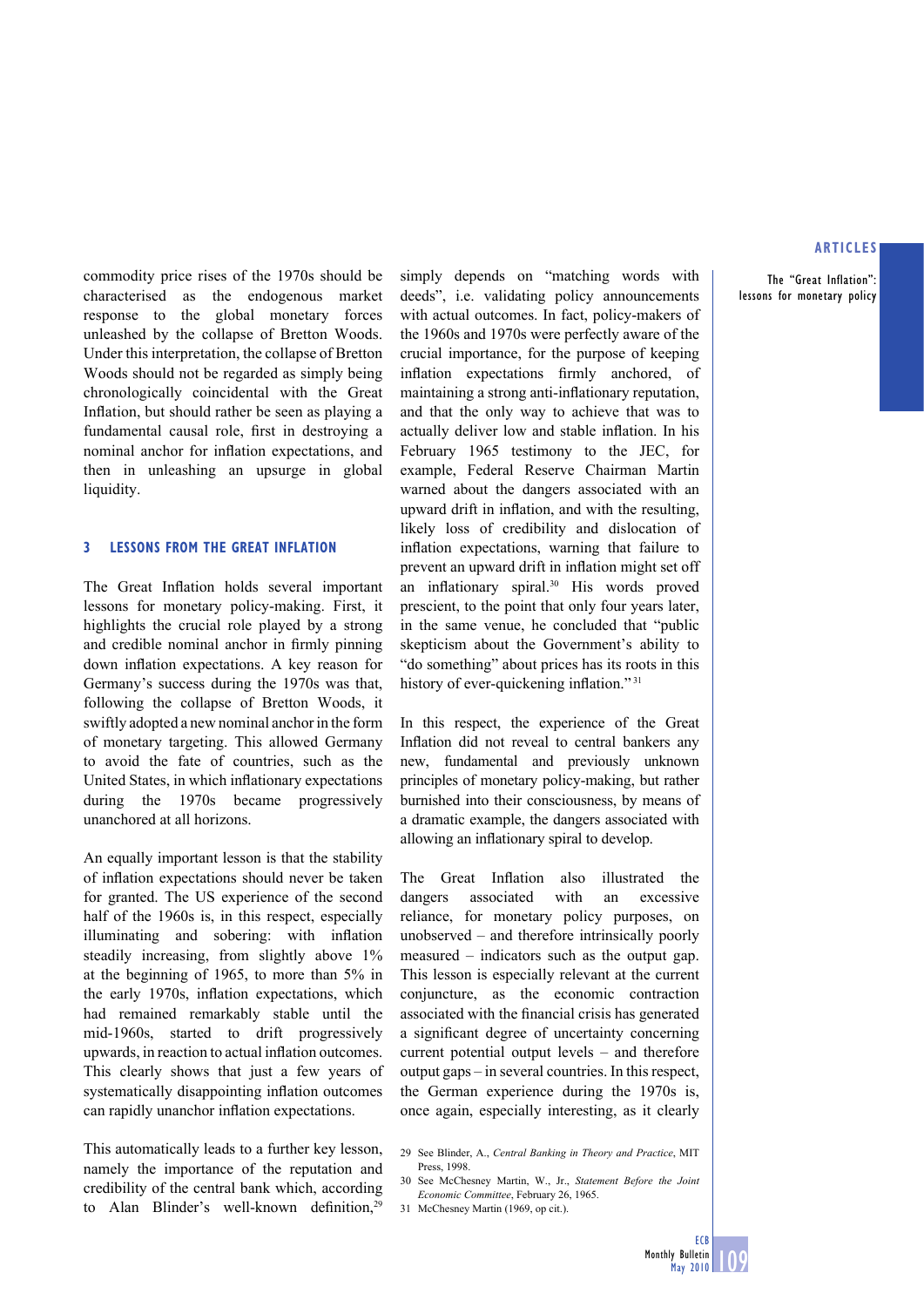**The "Great Inflation": lessons for monetary policy**

commodity price rises of the 1970s should be characterised as the endogenous market response to the global monetary forces unleashed by the collapse of Bretton Woods. Under this interpretation, the collapse of Bretton Woods should not be regarded as simply being chronologically coincidental with the Great Inflation, but should rather be seen as playing a fundamental causal role, first in destroying a nominal anchor for inflation expectations, and then in unleashing an upsurge in global liquidity.

#### **3 LESSONS FROM THE GREAT INFLATION**

The Great Inflation holds several important lessons for monetary policy-making. First, it highlights the crucial role played by a strong and credible nominal anchor in firmly pinning down inflation expectations. A key reason for Germany's success during the 1970s was that, following the collapse of Bretton Woods, it swiftly adopted a new nominal anchor in the form of monetary targeting. This allowed Germany to avoid the fate of countries, such as the United States, in which inflationary expectations during the 1970s became progressively unanchored at all horizons.

An equally important lesson is that the stability of inflation expectations should never be taken for granted. The US experience of the second half of the 1960s is, in this respect, especially illuminating and sobering: with inflation steadily increasing, from slightly above 1% at the beginning of 1965, to more than 5% in the early 1970s, inflation expectations, which had remained remarkably stable until the mid-1960s, started to drift progressively upwards, in reaction to actual inflation outcomes. This clearly shows that just a few years of systematically disappointing inflation outcomes can rapidly unanchor inflation expectations.

This automatically leads to a further key lesson, namely the importance of the reputation and credibility of the central bank which, according to Alan Blinder's well-known definition, $29$  simply depends on "matching words with deeds", i.e. validating policy announcements with actual outcomes. In fact, policy-makers of the 1960s and 1970s were perfectly aware of the crucial importance, for the purpose of keeping inflation expectations firmly anchored, of maintaining a strong anti-inflationary reputation, and that the only way to achieve that was to actually deliver low and stable inflation. In his February 1965 testimony to the JEC, for example, Federal Reserve Chairman Martin warned about the dangers associated with an upward drift in inflation, and with the resulting, likely loss of credibility and dislocation of inflation expectations, warning that failure to prevent an upward drift in inflation might set off an inflationary spiral. $30$  His words proved prescient, to the point that only four years later, in the same venue, he concluded that "public skepticism about the Government's ability to "do something" about prices has its roots in this history of ever-quickening inflation."<sup>31</sup>

In this respect, the experience of the Great Inflation did not reveal to central bankers any new, fundamental and previously unknown principles of monetary policy-making, but rather burnished into their consciousness, by means of a dramatic example, the dangers associated with allowing an inflationary spiral to develop.

The Great Inflation also illustrated the dangers associated with an excessive reliance, for monetary policy purposes, on unobserved – and therefore intrinsically poorly measured – indicators such as the output gap. This lesson is especially relevant at the current conjuncture, as the economic contraction associated with the financial crisis has generated a significant degree of uncertainty concerning current potential output levels – and therefore output gaps – in several countries. In this respect, the German experience during the 1970s is, once again, especially interesting, as it clearly

- 29 See Blinder, A., *Central Banking in Theory and Practice*, MIT Press, 1998.
- 30 See McChesney Martin, W., Jr., *Statement Before the Joint Economic Committee*, February 26, 1965.
- 31 McChesney Martin (1969, op cit.).